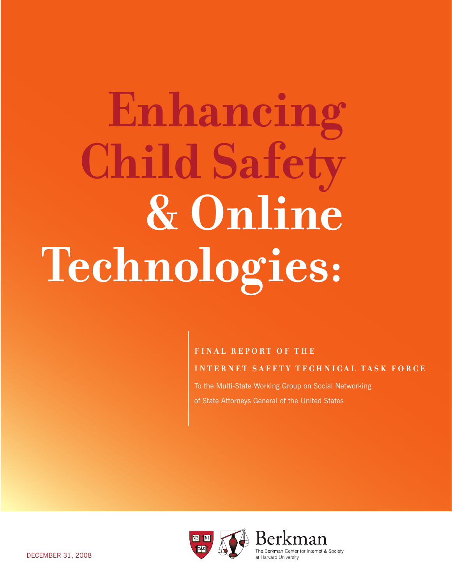# Enhancing **Child Safety** & Online Technologies:

#### **FINAL REPORT OF THE**

**INTERNET SAFETY TECHNICAL TASK FORCE** 

To the Multi-State Working Group on Social Networking of State Attorneys General of the United States

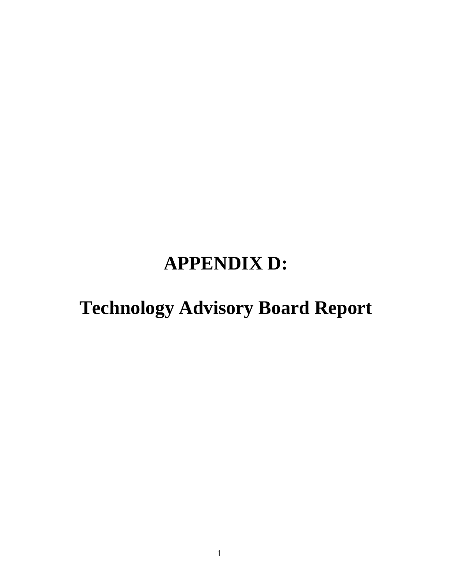# **APPENDIX D:**

# **Technology Advisory Board Report**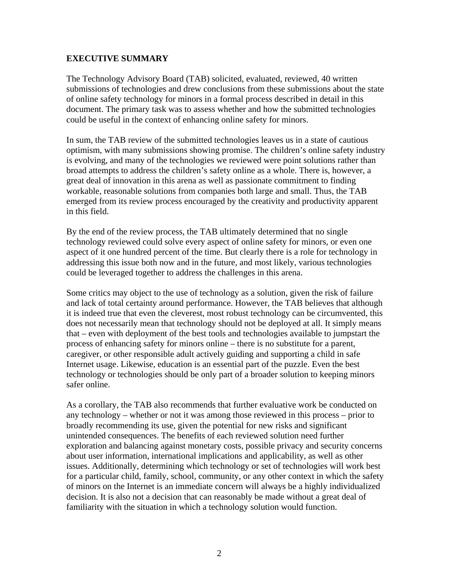#### **EXECUTIVE SUMMARY**

The Technology Advisory Board (TAB) solicited, evaluated, reviewed, 40 written submissions of technologies and drew conclusions from these submissions about the state of online safety technology for minors in a formal process described in detail in this document. The primary task was to assess whether and how the submitted technologies could be useful in the context of enhancing online safety for minors.

In sum, the TAB review of the submitted technologies leaves us in a state of cautious optimism, with many submissions showing promise. The children's online safety industry is evolving, and many of the technologies we reviewed were point solutions rather than broad attempts to address the children's safety online as a whole. There is, however, a great deal of innovation in this arena as well as passionate commitment to finding workable, reasonable solutions from companies both large and small. Thus, the TAB emerged from its review process encouraged by the creativity and productivity apparent in this field.

By the end of the review process, the TAB ultimately determined that no single technology reviewed could solve every aspect of online safety for minors, or even one aspect of it one hundred percent of the time. But clearly there is a role for technology in addressing this issue both now and in the future, and most likely, various technologies could be leveraged together to address the challenges in this arena.

Some critics may object to the use of technology as a solution, given the risk of failure and lack of total certainty around performance. However, the TAB believes that although it is indeed true that even the cleverest, most robust technology can be circumvented, this does not necessarily mean that technology should not be deployed at all. It simply means that – even with deployment of the best tools and technologies available to jumpstart the process of enhancing safety for minors online – there is no substitute for a parent, caregiver, or other responsible adult actively guiding and supporting a child in safe Internet usage. Likewise, education is an essential part of the puzzle. Even the best technology or technologies should be only part of a broader solution to keeping minors safer online.

As a corollary, the TAB also recommends that further evaluative work be conducted on any technology – whether or not it was among those reviewed in this process – prior to broadly recommending its use, given the potential for new risks and significant unintended consequences. The benefits of each reviewed solution need further exploration and balancing against monetary costs, possible privacy and security concerns about user information, international implications and applicability, as well as other issues. Additionally, determining which technology or set of technologies will work best for a particular child, family, school, community, or any other context in which the safety of minors on the Internet is an immediate concern will always be a highly individualized decision. It is also not a decision that can reasonably be made without a great deal of familiarity with the situation in which a technology solution would function.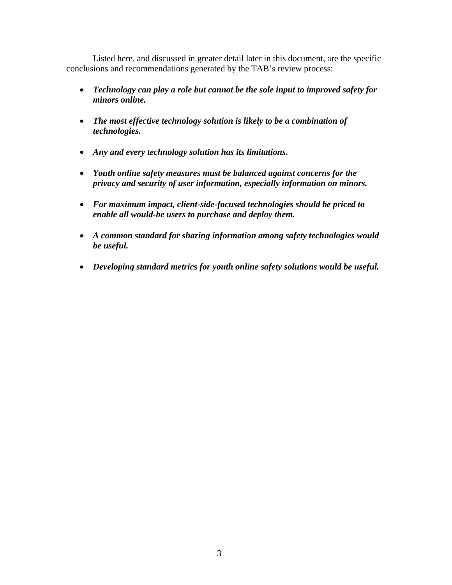Listed here, and discussed in greater detail later in this document, are the specific conclusions and recommendations generated by the TAB's review process:

- *Technology can play a role but cannot be the sole input to improved safety for minors online.*
- *The most effective technology solution is likely to be a combination of technologies.*
- *Any and every technology solution has its limitations.*
- *Youth online safety measures must be balanced against concerns for the privacy and security of user information, especially information on minors.*
- *For maximum impact, client-side-focused technologies should be priced to enable all would-be users to purchase and deploy them.*
- *A common standard for sharing information among safety technologies would be useful.*
- *Developing standard metrics for youth online safety solutions would be useful.*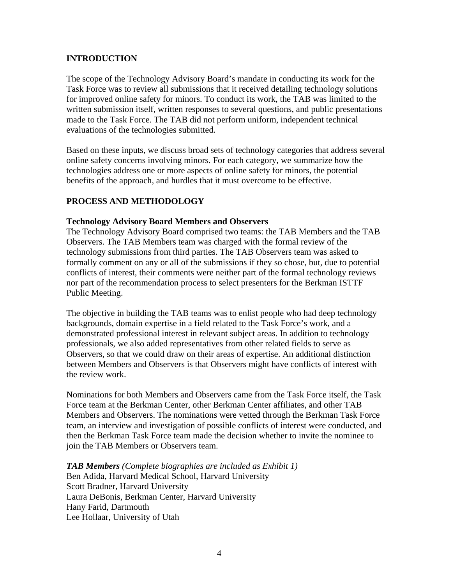#### **INTRODUCTION**

The scope of the Technology Advisory Board's mandate in conducting its work for the Task Force was to review all submissions that it received detailing technology solutions for improved online safety for minors. To conduct its work, the TAB was limited to the written submission itself, written responses to several questions, and public presentations made to the Task Force. The TAB did not perform uniform, independent technical evaluations of the technologies submitted.

Based on these inputs, we discuss broad sets of technology categories that address several online safety concerns involving minors. For each category, we summarize how the technologies address one or more aspects of online safety for minors, the potential benefits of the approach, and hurdles that it must overcome to be effective.

#### **PROCESS AND METHODOLOGY**

#### **Technology Advisory Board Members and Observers**

The Technology Advisory Board comprised two teams: the TAB Members and the TAB Observers. The TAB Members team was charged with the formal review of the technology submissions from third parties. The TAB Observers team was asked to formally comment on any or all of the submissions if they so chose, but, due to potential conflicts of interest, their comments were neither part of the formal technology reviews nor part of the recommendation process to select presenters for the Berkman ISTTF Public Meeting.

The objective in building the TAB teams was to enlist people who had deep technology backgrounds, domain expertise in a field related to the Task Force's work, and a demonstrated professional interest in relevant subject areas. In addition to technology professionals, we also added representatives from other related fields to serve as Observers, so that we could draw on their areas of expertise. An additional distinction between Members and Observers is that Observers might have conflicts of interest with the review work.

Nominations for both Members and Observers came from the Task Force itself, the Task Force team at the Berkman Center, other Berkman Center affiliates, and other TAB Members and Observers. The nominations were vetted through the Berkman Task Force team, an interview and investigation of possible conflicts of interest were conducted, and then the Berkman Task Force team made the decision whether to invite the nominee to join the TAB Members or Observers team.

*TAB Members (Complete biographies are included as Exhibit 1)*  Ben Adida, Harvard Medical School, Harvard University Scott Bradner, Harvard University Laura DeBonis, Berkman Center, Harvard University Hany Farid, Dartmouth Lee Hollaar, University of Utah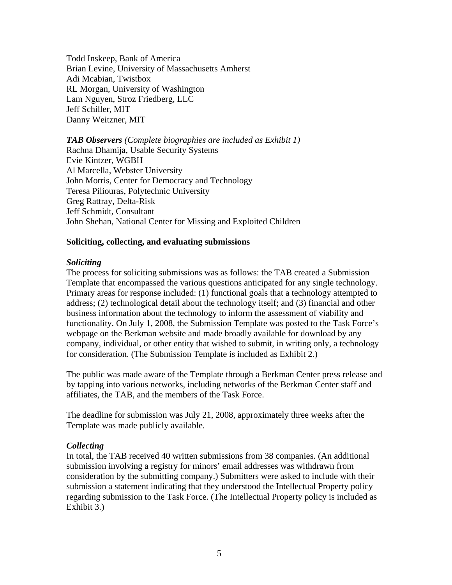Todd Inskeep, Bank of America Brian Levine, University of Massachusetts Amherst Adi Mcabian, Twistbox RL Morgan, University of Washington Lam Nguyen, Stroz Friedberg, LLC Jeff Schiller, MIT Danny Weitzner, MIT

*TAB Observers (Complete biographies are included as Exhibit 1)*  Rachna Dhamija, Usable Security Systems Evie Kintzer, WGBH Al Marcella, Webster University John Morris, Center for Democracy and Technology Teresa Piliouras, Polytechnic University Greg Rattray, Delta-Risk Jeff Schmidt, Consultant John Shehan, National Center for Missing and Exploited Children

#### **Soliciting, collecting, and evaluating submissions**

#### *Soliciting*

The process for soliciting submissions was as follows: the TAB created a Submission Template that encompassed the various questions anticipated for any single technology. Primary areas for response included: (1) functional goals that a technology attempted to address; (2) technological detail about the technology itself; and (3) financial and other business information about the technology to inform the assessment of viability and functionality. On July 1, 2008, the Submission Template was posted to the Task Force's webpage on the Berkman website and made broadly available for download by any company, individual, or other entity that wished to submit, in writing only, a technology for consideration. (The Submission Template is included as Exhibit 2.)

The public was made aware of the Template through a Berkman Center press release and by tapping into various networks, including networks of the Berkman Center staff and affiliates, the TAB, and the members of the Task Force.

The deadline for submission was July 21, 2008, approximately three weeks after the Template was made publicly available.

#### *Collecting*

In total, the TAB received 40 written submissions from 38 companies. (An additional submission involving a registry for minors' email addresses was withdrawn from consideration by the submitting company.) Submitters were asked to include with their submission a statement indicating that they understood the Intellectual Property policy regarding submission to the Task Force. (The Intellectual Property policy is included as Exhibit 3.)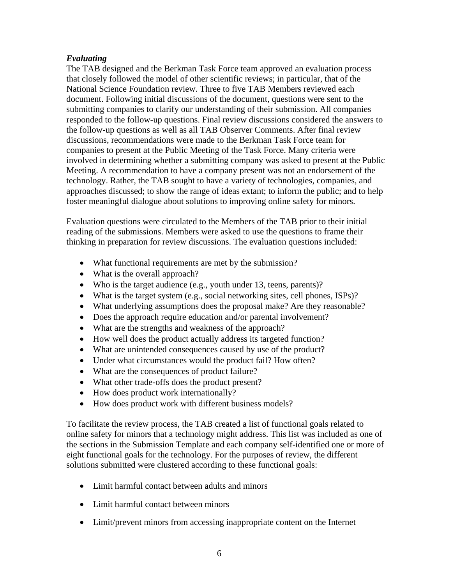#### *Evaluating*

The TAB designed and the Berkman Task Force team approved an evaluation process that closely followed the model of other scientific reviews; in particular, that of the National Science Foundation review. Three to five TAB Members reviewed each document. Following initial discussions of the document, questions were sent to the submitting companies to clarify our understanding of their submission. All companies responded to the follow-up questions. Final review discussions considered the answers to the follow-up questions as well as all TAB Observer Comments. After final review discussions, recommendations were made to the Berkman Task Force team for companies to present at the Public Meeting of the Task Force. Many criteria were involved in determining whether a submitting company was asked to present at the Public Meeting. A recommendation to have a company present was not an endorsement of the technology. Rather, the TAB sought to have a variety of technologies, companies, and approaches discussed; to show the range of ideas extant; to inform the public; and to help foster meaningful dialogue about solutions to improving online safety for minors.

Evaluation questions were circulated to the Members of the TAB prior to their initial reading of the submissions. Members were asked to use the questions to frame their thinking in preparation for review discussions. The evaluation questions included:

- What functional requirements are met by the submission?
- What is the overall approach?
- Who is the target audience (e.g., youth under 13, teens, parents)?
- What is the target system (e.g., social networking sites, cell phones, ISPs)?
- What underlying assumptions does the proposal make? Are they reasonable?
- Does the approach require education and/or parental involvement?
- What are the strengths and weakness of the approach?
- How well does the product actually address its targeted function?
- What are unintended consequences caused by use of the product?
- Under what circumstances would the product fail? How often?
- What are the consequences of product failure?
- What other trade-offs does the product present?
- How does product work internationally?
- How does product work with different business models?

To facilitate the review process, the TAB created a list of functional goals related to online safety for minors that a technology might address. This list was included as one of the sections in the Submission Template and each company self-identified one or more of eight functional goals for the technology. For the purposes of review, the different solutions submitted were clustered according to these functional goals:

- Limit harmful contact between adults and minors
- Limit harmful contact between minors
- Limit/prevent minors from accessing inappropriate content on the Internet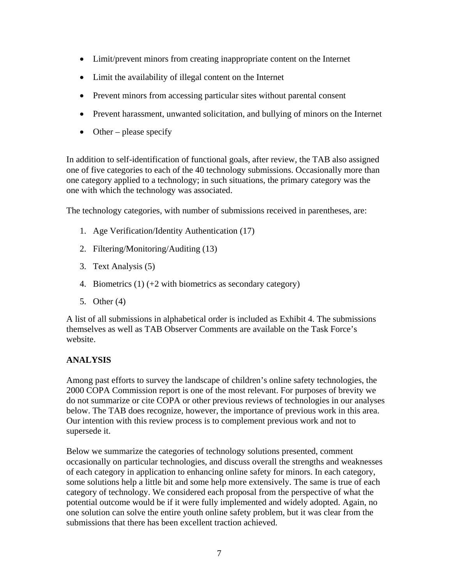- Limit/prevent minors from creating inappropriate content on the Internet
- Limit the availability of illegal content on the Internet
- Prevent minors from accessing particular sites without parental consent
- Prevent harassment, unwanted solicitation, and bullying of minors on the Internet
- Other please specify

In addition to self-identification of functional goals, after review, the TAB also assigned one of five categories to each of the 40 technology submissions. Occasionally more than one category applied to a technology; in such situations, the primary category was the one with which the technology was associated.

The technology categories, with number of submissions received in parentheses, are:

- 1. Age Verification/Identity Authentication (17)
- 2. Filtering/Monitoring/Auditing (13)
- 3. Text Analysis (5)
- 4. Biometrics  $(1)$  (+2 with biometrics as secondary category)
- 5. Other (4)

A list of all submissions in alphabetical order is included as Exhibit 4. The submissions themselves as well as TAB Observer Comments are available on the Task Force's website.

### **ANALYSIS**

Among past efforts to survey the landscape of children's online safety technologies, the 2000 COPA Commission report is one of the most relevant. For purposes of brevity we do not summarize or cite COPA or other previous reviews of technologies in our analyses below. The TAB does recognize, however, the importance of previous work in this area. Our intention with this review process is to complement previous work and not to supersede it.

Below we summarize the categories of technology solutions presented, comment occasionally on particular technologies, and discuss overall the strengths and weaknesses of each category in application to enhancing online safety for minors. In each category, some solutions help a little bit and some help more extensively. The same is true of each category of technology. We considered each proposal from the perspective of what the potential outcome would be if it were fully implemented and widely adopted. Again, no one solution can solve the entire youth online safety problem, but it was clear from the submissions that there has been excellent traction achieved.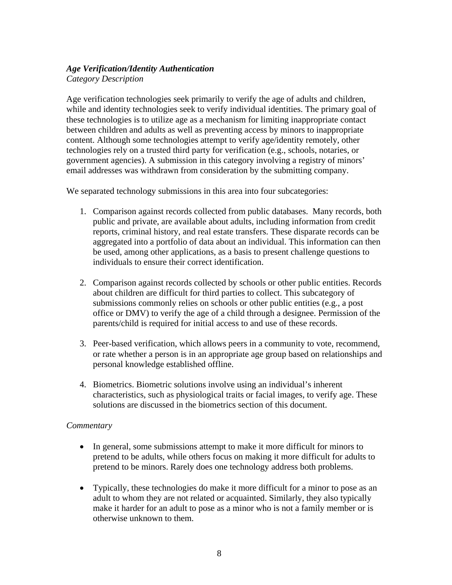#### *Age Verification/Identity Authentication Category Description*

Age verification technologies seek primarily to verify the age of adults and children, while and identity technologies seek to verify individual identities. The primary goal of these technologies is to utilize age as a mechanism for limiting inappropriate contact between children and adults as well as preventing access by minors to inappropriate content. Although some technologies attempt to verify age/identity remotely, other technologies rely on a trusted third party for verification (e.g., schools, notaries, or government agencies). A submission in this category involving a registry of minors' email addresses was withdrawn from consideration by the submitting company.

We separated technology submissions in this area into four subcategories:

- 1. Comparison against records collected from public databases. Many records, both public and private, are available about adults, including information from credit reports, criminal history, and real estate transfers. These disparate records can be aggregated into a portfolio of data about an individual. This information can then be used, among other applications, as a basis to present challenge questions to individuals to ensure their correct identification.
- 2. Comparison against records collected by schools or other public entities. Records about children are difficult for third parties to collect. This subcategory of submissions commonly relies on schools or other public entities (e.g., a post office or DMV) to verify the age of a child through a designee. Permission of the parents/child is required for initial access to and use of these records.
- 3. Peer-based verification, which allows peers in a community to vote, recommend, or rate whether a person is in an appropriate age group based on relationships and personal knowledge established offline.
- 4. Biometrics. Biometric solutions involve using an individual's inherent characteristics, such as physiological traits or facial images, to verify age. These solutions are discussed in the biometrics section of this document.

#### *Commentary*

- In general, some submissions attempt to make it more difficult for minors to pretend to be adults, while others focus on making it more difficult for adults to pretend to be minors. Rarely does one technology address both problems.
- Typically, these technologies do make it more difficult for a minor to pose as an adult to whom they are not related or acquainted. Similarly, they also typically make it harder for an adult to pose as a minor who is not a family member or is otherwise unknown to them.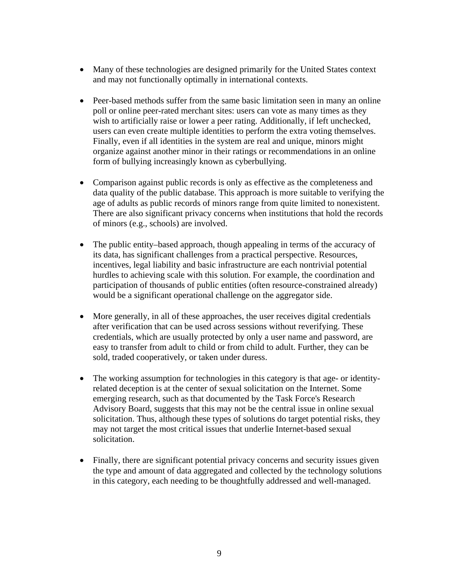- Many of these technologies are designed primarily for the United States context and may not functionally optimally in international contexts.
- Peer-based methods suffer from the same basic limitation seen in many an online poll or online peer-rated merchant sites: users can vote as many times as they wish to artificially raise or lower a peer rating. Additionally, if left unchecked, users can even create multiple identities to perform the extra voting themselves. Finally, even if all identities in the system are real and unique, minors might organize against another minor in their ratings or recommendations in an online form of bullying increasingly known as cyberbullying.
- Comparison against public records is only as effective as the completeness and data quality of the public database. This approach is more suitable to verifying the age of adults as public records of minors range from quite limited to nonexistent. There are also significant privacy concerns when institutions that hold the records of minors (e.g., schools) are involved.
- The public entity–based approach, though appealing in terms of the accuracy of its data, has significant challenges from a practical perspective. Resources, incentives, legal liability and basic infrastructure are each nontrivial potential hurdles to achieving scale with this solution. For example, the coordination and participation of thousands of public entities (often resource-constrained already) would be a significant operational challenge on the aggregator side.
- More generally, in all of these approaches, the user receives digital credentials after verification that can be used across sessions without reverifying. These credentials, which are usually protected by only a user name and password, are easy to transfer from adult to child or from child to adult. Further, they can be sold, traded cooperatively, or taken under duress.
- The working assumption for technologies in this category is that age- or identityrelated deception is at the center of sexual solicitation on the Internet. Some emerging research, such as that documented by the Task Force's Research Advisory Board, suggests that this may not be the central issue in online sexual solicitation. Thus, although these types of solutions do target potential risks, they may not target the most critical issues that underlie Internet-based sexual solicitation.
- Finally, there are significant potential privacy concerns and security issues given the type and amount of data aggregated and collected by the technology solutions in this category, each needing to be thoughtfully addressed and well-managed.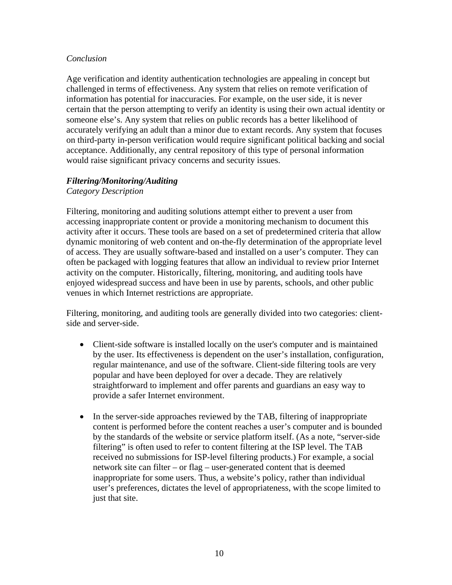#### *Conclusion*

Age verification and identity authentication technologies are appealing in concept but challenged in terms of effectiveness. Any system that relies on remote verification of information has potential for inaccuracies. For example, on the user side, it is never certain that the person attempting to verify an identity is using their own actual identity or someone else's. Any system that relies on public records has a better likelihood of accurately verifying an adult than a minor due to extant records. Any system that focuses on third-party in-person verification would require significant political backing and social acceptance. Additionally, any central repository of this type of personal information would raise significant privacy concerns and security issues.

#### *Filtering/Monitoring/Auditing*

*Category Description* 

Filtering, monitoring and auditing solutions attempt either to prevent a user from accessing inappropriate content or provide a monitoring mechanism to document this activity after it occurs. These tools are based on a set of predetermined criteria that allow dynamic monitoring of web content and on-the-fly determination of the appropriate level of access. They are usually software-based and installed on a user's computer. They can often be packaged with logging features that allow an individual to review prior Internet activity on the computer. Historically, filtering, monitoring, and auditing tools have enjoyed widespread success and have been in use by parents, schools, and other public venues in which Internet restrictions are appropriate.

Filtering, monitoring, and auditing tools are generally divided into two categories: clientside and server-side.

- Client-side software is installed locally on the user's computer and is maintained by the user. Its effectiveness is dependent on the user's installation, configuration, regular maintenance, and use of the software. Client-side filtering tools are very popular and have been deployed for over a decade. They are relatively straightforward to implement and offer parents and guardians an easy way to provide a safer Internet environment.
- In the server-side approaches reviewed by the TAB, filtering of inappropriate content is performed before the content reaches a user's computer and is bounded by the standards of the website or service platform itself. (As a note, "server-side filtering" is often used to refer to content filtering at the ISP level. The TAB received no submissions for ISP-level filtering products.) For example, a social network site can filter – or flag – user-generated content that is deemed inappropriate for some users. Thus, a website's policy, rather than individual user's preferences, dictates the level of appropriateness, with the scope limited to just that site.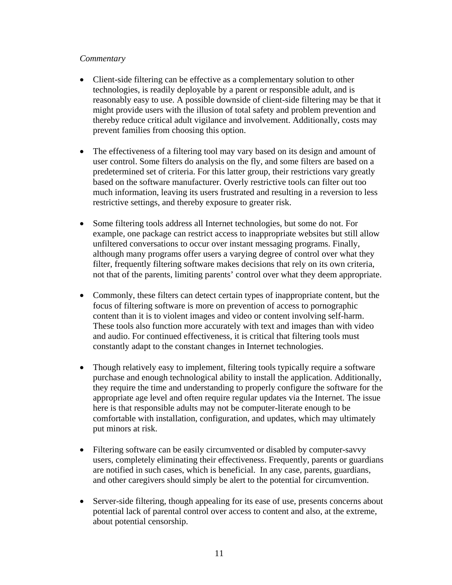#### *Commentary*

- Client-side filtering can be effective as a complementary solution to other technologies, is readily deployable by a parent or responsible adult, and is reasonably easy to use. A possible downside of client-side filtering may be that it might provide users with the illusion of total safety and problem prevention and thereby reduce critical adult vigilance and involvement. Additionally, costs may prevent families from choosing this option.
- The effectiveness of a filtering tool may vary based on its design and amount of user control. Some filters do analysis on the fly, and some filters are based on a predetermined set of criteria. For this latter group, their restrictions vary greatly based on the software manufacturer. Overly restrictive tools can filter out too much information, leaving its users frustrated and resulting in a reversion to less restrictive settings, and thereby exposure to greater risk.
- Some filtering tools address all Internet technologies, but some do not. For example, one package can restrict access to inappropriate websites but still allow unfiltered conversations to occur over instant messaging programs. Finally, although many programs offer users a varying degree of control over what they filter, frequently filtering software makes decisions that rely on its own criteria, not that of the parents, limiting parents' control over what they deem appropriate.
- Commonly, these filters can detect certain types of inappropriate content, but the focus of filtering software is more on prevention of access to pornographic content than it is to violent images and video or content involving self-harm. These tools also function more accurately with text and images than with video and audio. For continued effectiveness, it is critical that filtering tools must constantly adapt to the constant changes in Internet technologies.
- Though relatively easy to implement, filtering tools typically require a software purchase and enough technological ability to install the application. Additionally, they require the time and understanding to properly configure the software for the appropriate age level and often require regular updates via the Internet. The issue here is that responsible adults may not be computer-literate enough to be comfortable with installation, configuration, and updates, which may ultimately put minors at risk.
- Filtering software can be easily circumvented or disabled by computer-savvy users, completely eliminating their effectiveness. Frequently, parents or guardians are notified in such cases, which is beneficial. In any case, parents, guardians, and other caregivers should simply be alert to the potential for circumvention.
- Server-side filtering, though appealing for its ease of use, presents concerns about potential lack of parental control over access to content and also, at the extreme, about potential censorship.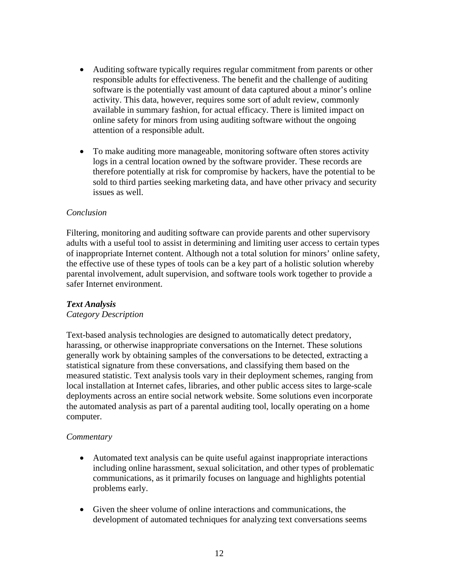- Auditing software typically requires regular commitment from parents or other responsible adults for effectiveness. The benefit and the challenge of auditing software is the potentially vast amount of data captured about a minor's online activity. This data, however, requires some sort of adult review, commonly available in summary fashion, for actual efficacy. There is limited impact on online safety for minors from using auditing software without the ongoing attention of a responsible adult.
- To make auditing more manageable, monitoring software often stores activity logs in a central location owned by the software provider. These records are therefore potentially at risk for compromise by hackers, have the potential to be sold to third parties seeking marketing data, and have other privacy and security issues as well.

#### *Conclusion*

Filtering, monitoring and auditing software can provide parents and other supervisory adults with a useful tool to assist in determining and limiting user access to certain types of inappropriate Internet content. Although not a total solution for minors' online safety, the effective use of these types of tools can be a key part of a holistic solution whereby parental involvement, adult supervision, and software tools work together to provide a safer Internet environment.

#### *Text Analysis*

#### *Category Description*

Text-based analysis technologies are designed to automatically detect predatory, harassing, or otherwise inappropriate conversations on the Internet. These solutions generally work by obtaining samples of the conversations to be detected, extracting a statistical signature from these conversations, and classifying them based on the measured statistic. Text analysis tools vary in their deployment schemes, ranging from local installation at Internet cafes, libraries, and other public access sites to large-scale deployments across an entire social network website. Some solutions even incorporate the automated analysis as part of a parental auditing tool, locally operating on a home computer.

#### *Commentary*

- Automated text analysis can be quite useful against inappropriate interactions including online harassment, sexual solicitation, and other types of problematic communications, as it primarily focuses on language and highlights potential problems early.
- Given the sheer volume of online interactions and communications, the development of automated techniques for analyzing text conversations seems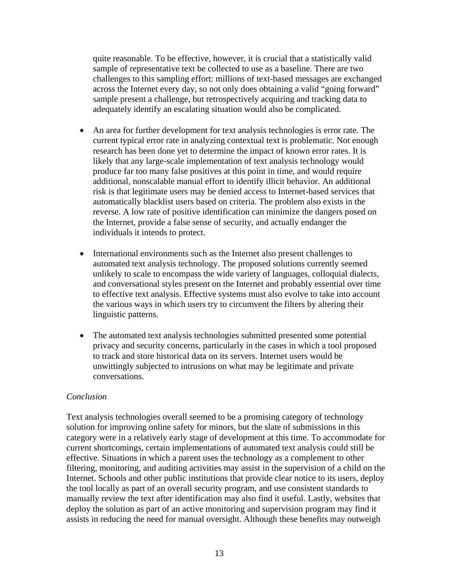quite reasonable. To be effective, however, it is crucial that a statistically valid sample of representative text be collected to use as a baseline. There are two challenges to this sampling effort: millions of text-based messages are exchanged across the Internet every day, so not only does obtaining a valid "going forward" sample present a challenge, but retrospectively acquiring and tracking data to adequately identify an escalating situation would also be complicated.

- An area for further development for text analysis technologies is error rate. The current typical error rate in analyzing contextual text is problematic. Not enough research has been done yet to determine the impact of known error rates. It is likely that any large-scale implementation of text analysis technology would produce far too many false positives at this point in time, and would require additional, nonscalable manual effort to identify illicit behavior. An additional risk is that legitimate users may be denied access to Internet-based services that automatically blacklist users based on criteria. The problem also exists in the reverse. A low rate of positive identification can minimize the dangers posed on the Internet, provide a false sense of security, and actually endanger the individuals it intends to protect.
- International environments such as the Internet also present challenges to automated text analysis technology. The proposed solutions currently seemed unlikely to scale to encompass the wide variety of languages, colloquial dialects, and conversational styles present on the Internet and probably essential over time to effective text analysis. Effective systems must also evolve to take into account the various ways in which users try to circumvent the filters by altering their linguistic patterns.
- The automated text analysis technologies submitted presented some potential privacy and security concerns, particularly in the cases in which a tool proposed to track and store historical data on its servers. Internet users would be unwittingly subjected to intrusions on what may be legitimate and private conversations.

#### *Conclusion*

Text analysis technologies overall seemed to be a promising category of technology solution for improving online safety for minors, but the slate of submissions in this category were in a relatively early stage of development at this time. To accommodate for current shortcomings, certain implementations of automated text analysis could still be effective. Situations in which a parent uses the technology as a complement to other filtering, monitoring, and auditing activities may assist in the supervision of a child on the Internet. Schools and other public institutions that provide clear notice to its users, deploy the tool locally as part of an overall security program, and use consistent standards to manually review the text after identification may also find it useful. Lastly, websites that deploy the solution as part of an active monitoring and supervision program may find it assists in reducing the need for manual oversight. Although these benefits may outweigh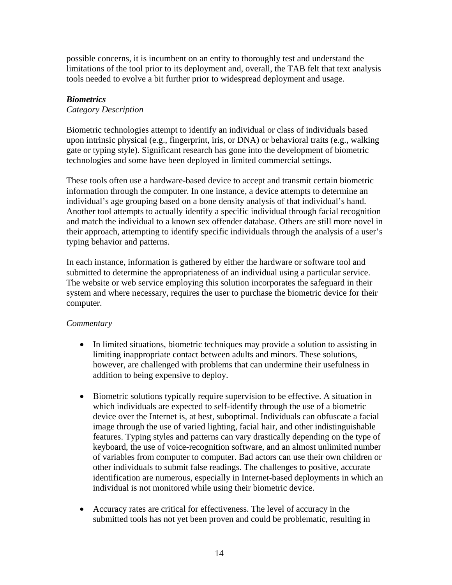possible concerns, it is incumbent on an entity to thoroughly test and understand the limitations of the tool prior to its deployment and, overall, the TAB felt that text analysis tools needed to evolve a bit further prior to widespread deployment and usage.

#### *Biometrics*

#### *Category Description*

Biometric technologies attempt to identify an individual or class of individuals based upon intrinsic physical (e.g., fingerprint, iris, or DNA) or behavioral traits (e.g., walking gate or typing style). Significant research has gone into the development of biometric technologies and some have been deployed in limited commercial settings.

These tools often use a hardware-based device to accept and transmit certain biometric information through the computer. In one instance, a device attempts to determine an individual's age grouping based on a bone density analysis of that individual's hand. Another tool attempts to actually identify a specific individual through facial recognition and match the individual to a known sex offender database. Others are still more novel in their approach, attempting to identify specific individuals through the analysis of a user's typing behavior and patterns.

In each instance, information is gathered by either the hardware or software tool and submitted to determine the appropriateness of an individual using a particular service. The website or web service employing this solution incorporates the safeguard in their system and where necessary, requires the user to purchase the biometric device for their computer.

#### *Commentary*

- In limited situations, biometric techniques may provide a solution to assisting in limiting inappropriate contact between adults and minors. These solutions, however, are challenged with problems that can undermine their usefulness in addition to being expensive to deploy.
- Biometric solutions typically require supervision to be effective. A situation in which individuals are expected to self-identify through the use of a biometric device over the Internet is, at best, suboptimal. Individuals can obfuscate a facial image through the use of varied lighting, facial hair, and other indistinguishable features. Typing styles and patterns can vary drastically depending on the type of keyboard, the use of voice-recognition software, and an almost unlimited number of variables from computer to computer. Bad actors can use their own children or other individuals to submit false readings. The challenges to positive, accurate identification are numerous, especially in Internet-based deployments in which an individual is not monitored while using their biometric device.
- Accuracy rates are critical for effectiveness. The level of accuracy in the submitted tools has not yet been proven and could be problematic, resulting in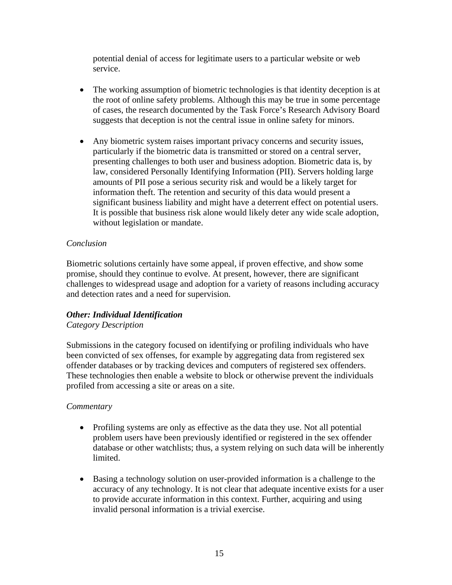potential denial of access for legitimate users to a particular website or web service.

- The working assumption of biometric technologies is that identity deception is at the root of online safety problems. Although this may be true in some percentage of cases, the research documented by the Task Force's Research Advisory Board suggests that deception is not the central issue in online safety for minors.
- Any biometric system raises important privacy concerns and security issues, particularly if the biometric data is transmitted or stored on a central server, presenting challenges to both user and business adoption. Biometric data is, by law, considered Personally Identifying Information (PII). Servers holding large amounts of PII pose a serious security risk and would be a likely target for information theft. The retention and security of this data would present a significant business liability and might have a deterrent effect on potential users. It is possible that business risk alone would likely deter any wide scale adoption, without legislation or mandate.

#### *Conclusion*

Biometric solutions certainly have some appeal, if proven effective, and show some promise, should they continue to evolve. At present, however, there are significant challenges to widespread usage and adoption for a variety of reasons including accuracy and detection rates and a need for supervision.

#### *Other: Individual Identification Category Description*

Submissions in the category focused on identifying or profiling individuals who have been convicted of sex offenses, for example by aggregating data from registered sex offender databases or by tracking devices and computers of registered sex offenders. These technologies then enable a website to block or otherwise prevent the individuals profiled from accessing a site or areas on a site.

#### *Commentary*

- Profiling systems are only as effective as the data they use. Not all potential problem users have been previously identified or registered in the sex offender database or other watchlists; thus, a system relying on such data will be inherently limited.
- Basing a technology solution on user-provided information is a challenge to the accuracy of any technology. It is not clear that adequate incentive exists for a user to provide accurate information in this context. Further, acquiring and using invalid personal information is a trivial exercise.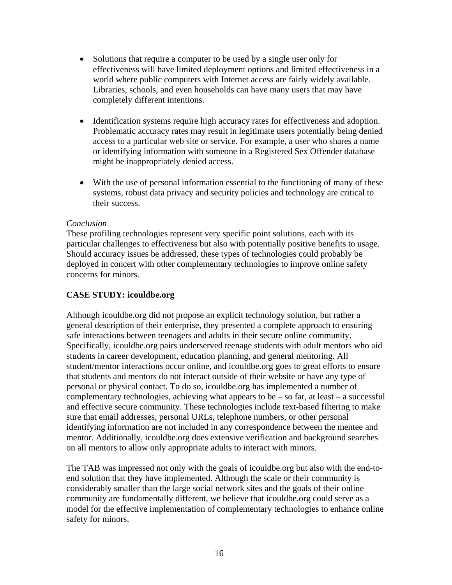- Solutions that require a computer to be used by a single user only for effectiveness will have limited deployment options and limited effectiveness in a world where public computers with Internet access are fairly widely available. Libraries, schools, and even households can have many users that may have completely different intentions.
- Identification systems require high accuracy rates for effectiveness and adoption. Problematic accuracy rates may result in legitimate users potentially being denied access to a particular web site or service. For example, a user who shares a name or identifying information with someone in a Registered Sex Offender database might be inappropriately denied access.
- With the use of personal information essential to the functioning of many of these systems, robust data privacy and security policies and technology are critical to their success.

#### *Conclusion*

These profiling technologies represent very specific point solutions, each with its particular challenges to effectiveness but also with potentially positive benefits to usage. Should accuracy issues be addressed, these types of technologies could probably be deployed in concert with other complementary technologies to improve online safety concerns for minors.

#### **CASE STUDY: icouldbe.org**

Although icouldbe.org did not propose an explicit technology solution, but rather a general description of their enterprise, they presented a complete approach to ensuring safe interactions between teenagers and adults in their secure online community. Specifically, icouldbe.org pairs underserved teenage students with adult mentors who aid students in career development, education planning, and general mentoring. All student/mentor interactions occur online, and icouldbe.org goes to great efforts to ensure that students and mentors do not interact outside of their website or have any type of personal or physical contact. To do so, icouldbe.org has implemented a number of complementary technologies, achieving what appears to be  $-$  so far, at least  $-$  a successful and effective secure community. These technologies include text-based filtering to make sure that email addresses, personal URLs, telephone numbers, or other personal identifying information are not included in any correspondence between the mentee and mentor. Additionally, icouldbe.org does extensive verification and background searches on all mentors to allow only appropriate adults to interact with minors.

The TAB was impressed not only with the goals of icouldbe.org but also with the end-toend solution that they have implemented. Although the scale or their community is considerably smaller than the large social network sites and the goals of their online community are fundamentally different, we believe that icouldbe.org could serve as a model for the effective implementation of complementary technologies to enhance online safety for minors.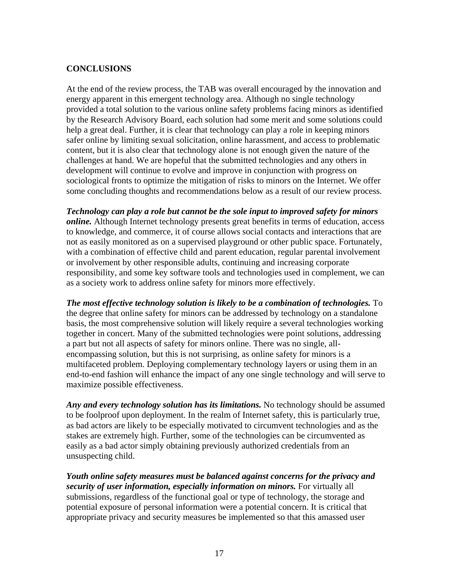#### **CONCLUSIONS**

At the end of the review process, the TAB was overall encouraged by the innovation and energy apparent in this emergent technology area. Although no single technology provided a total solution to the various online safety problems facing minors as identified by the Research Advisory Board, each solution had some merit and some solutions could help a great deal. Further, it is clear that technology can play a role in keeping minors safer online by limiting sexual solicitation, online harassment, and access to problematic content, but it is also clear that technology alone is not enough given the nature of the challenges at hand. We are hopeful that the submitted technologies and any others in development will continue to evolve and improve in conjunction with progress on sociological fronts to optimize the mitigation of risks to minors on the Internet. We offer some concluding thoughts and recommendations below as a result of our review process.

*Technology can play a role but cannot be the sole input to improved safety for minors online.* Although Internet technology presents great benefits in terms of education, access to knowledge, and commerce, it of course allows social contacts and interactions that are not as easily monitored as on a supervised playground or other public space. Fortunately, with a combination of effective child and parent education, regular parental involvement or involvement by other responsible adults, continuing and increasing corporate responsibility, and some key software tools and technologies used in complement, we can as a society work to address online safety for minors more effectively.

*The most effective technology solution is likely to be a combination of technologies.* **To** the degree that online safety for minors can be addressed by technology on a standalone basis, the most comprehensive solution will likely require a several technologies working together in concert. Many of the submitted technologies were point solutions, addressing a part but not all aspects of safety for minors online. There was no single, allencompassing solution, but this is not surprising, as online safety for minors is a multifaceted problem. Deploying complementary technology layers or using them in an end-to-end fashion will enhance the impact of any one single technology and will serve to maximize possible effectiveness.

Any and every technology solution has its limitations. No technology should be assumed to be foolproof upon deployment. In the realm of Internet safety, this is particularly true, as bad actors are likely to be especially motivated to circumvent technologies and as the stakes are extremely high. Further, some of the technologies can be circumvented as easily as a bad actor simply obtaining previously authorized credentials from an unsuspecting child.

*Youth online safety measures must be balanced against concerns for the privacy and security of user information, especially information on minors.* For virtually all submissions, regardless of the functional goal or type of technology, the storage and potential exposure of personal information were a potential concern. It is critical that appropriate privacy and security measures be implemented so that this amassed user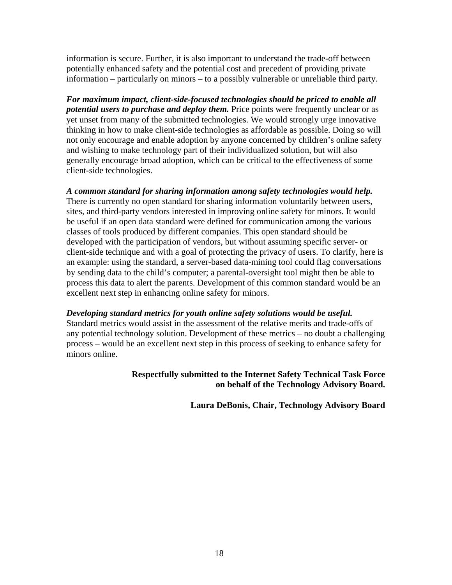information is secure. Further, it is also important to understand the trade-off between potentially enhanced safety and the potential cost and precedent of providing private information – particularly on minors – to a possibly vulnerable or unreliable third party.

*For maximum impact, client-side-focused technologies should be priced to enable all potential users to purchase and deploy them.* Price points were frequently unclear or as yet unset from many of the submitted technologies. We would strongly urge innovative thinking in how to make client-side technologies as affordable as possible. Doing so will not only encourage and enable adoption by anyone concerned by children's online safety and wishing to make technology part of their individualized solution, but will also generally encourage broad adoption, which can be critical to the effectiveness of some client-side technologies.

*A common standard for sharing information among safety technologies would help.*  There is currently no open standard for sharing information voluntarily between users, sites, and third-party vendors interested in improving online safety for minors. It would be useful if an open data standard were defined for communication among the various classes of tools produced by different companies. This open standard should be developed with the participation of vendors, but without assuming specific server- or client-side technique and with a goal of protecting the privacy of users. To clarify, here is an example: using the standard, a server-based data-mining tool could flag conversations by sending data to the child's computer; a parental-oversight tool might then be able to process this data to alert the parents. Development of this common standard would be an excellent next step in enhancing online safety for minors.

*Developing standard metrics for youth online safety solutions would be useful.* 

Standard metrics would assist in the assessment of the relative merits and trade-offs of any potential technology solution. Development of these metrics – no doubt a challenging process – would be an excellent next step in this process of seeking to enhance safety for minors online.

#### **Respectfully submitted to the Internet Safety Technical Task Force on behalf of the Technology Advisory Board.**

**Laura DeBonis, Chair, Technology Advisory Board**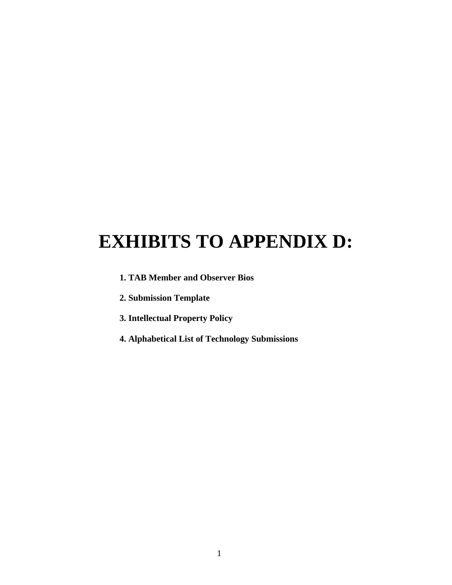# **EXHIBITS TO APPENDIX D:**

- **1. TAB Member and Observer Bios**
- **2. Submission Template**
- **3. Intellectual Property Policy**
- **4. Alphabetical List of Technology Submissions**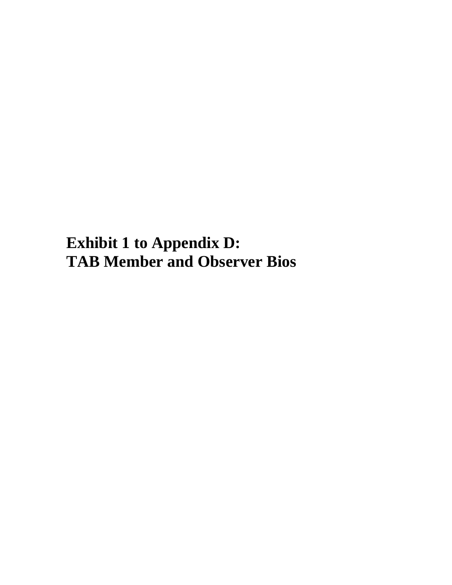**Exhibit 1 to Appendix D: TAB Member and Observer Bios**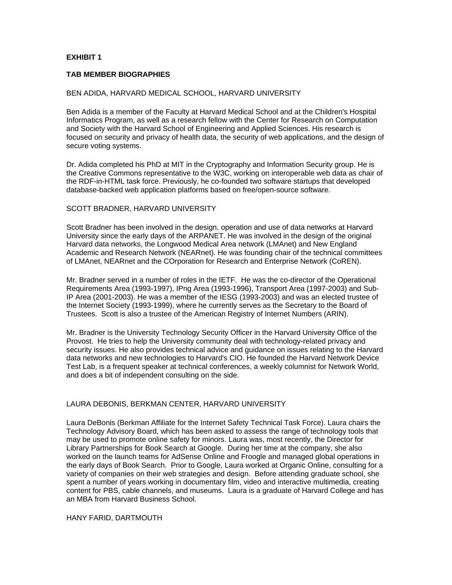#### **EXHIBIT 1**

#### **TAB MEMBER BIOGRAPHIES**

#### BEN ADIDA, HARVARD MEDICAL SCHOOL, HARVARD UNIVERSITY

Ben Adida is a member of the Faculty at Harvard Medical School and at the Children's Hospital Informatics Program, as well as a research fellow with the Center for Research on Computation and Society with the Harvard School of Engineering and Applied Sciences. His research is focused on security and privacy of health data, the security of web applications, and the design of secure voting systems.

Dr. Adida completed his PhD at MIT in the Cryptography and Information Security group. He is the Creative Commons representative to the W3C, working on interoperable web data as chair of the RDF-in-HTML task force. Previously, he co-founded two software startups that developed database-backed web application platforms based on free/open-source software.

#### SCOTT BRADNER, HARVARD UNIVERSITY

Scott Bradner has been involved in the design, operation and use of data networks at Harvard University since the early days of the ARPANET. He was involved in the design of the original Harvard data networks, the Longwood Medical Area network (LMAnet) and New England Academic and Research Network (NEARnet). He was founding chair of the technical committees of LMAnet, NEARnet and the COrporation for Research and Enterprise Network (CoREN).

Mr. Bradner served in a number of roles in the IETF. He was the co-director of the Operational<br>Reguirements Area (1993-1997), IPng Area (1993-1996), Transport Area (1997-2003) and Sub-IP Area (2001-2003). He was a member of the IESG (1993-2003) and was an elected trustee of the Internet Society (1993-1999), where he currently serves as the Secretary to the Board of Trustees. Scott is also a trustee of the American Registry of Internet Numbers (ARIN).

Mr. Bradner is the University Technology Security Officer in the Harvard University Office of the Provost. He tries to help the University community deal with technology-related privacy and security issues. He also provides technical advice and guidance on issues relating to the Harvard data networks and new technologies to Harvard's CIO. He founded the Harvard Network Device Test Lab, is a frequent speaker at technical conferences, a weekly columnist for Network World, and does a bit of independent consulting on the side.

#### LAURA DEBONIS, BERKMAN CENTER, HARVARD UNIVERSITY

Laura DeBonis (Berkman Affiliate for the Internet Safety Technical Task Force). Laura chairs the Technology Advisory Board, which has been asked to assess the range of technology tools that may be used to promote online safety for minors. Laura was, most recently, the Director for Library Partnerships for Book Search at Google. During her time at the company, she also worked on the launch teams for AdSense Online and Froogle and managed global operations in the early days of Book Search. Prior to Google, Laura worked at Organic Online, consulting for a variety of companies on their web strategies and design. Before attending graduate school, she spent a number of years working in documentary film, video and interactive multimedia, creating content for PBS, cable channels, and museums. Laura is a graduate of Harvard College and has an MBA from Harvard Business School.

#### HANY FARID, DARTMOUTH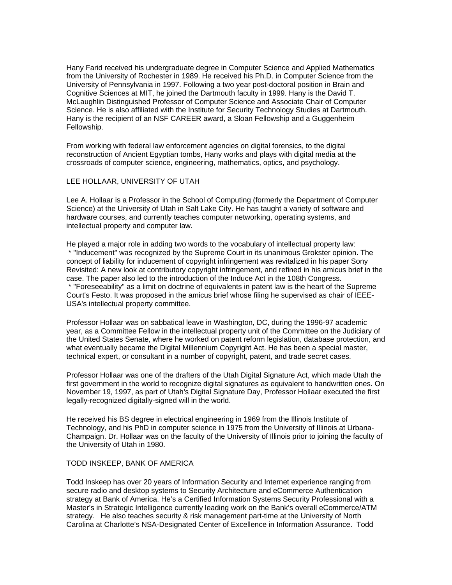Hany Farid received his undergraduate degree in Computer Science and Applied Mathematics from the University of Rochester in 1989. He received his Ph.D. in Computer Science from the University of Pennsylvania in 1997. Following a two year post-doctoral position in Brain and Cognitive Sciences at MIT, he joined the Dartmouth faculty in 1999. Hany is the David T. McLaughlin Distinguished Professor of Computer Science and Associate Chair of Computer Science. He is also affiliated with the Institute for Security Technology Studies at Dartmouth. Hany is the recipient of an NSF CAREER award, a Sloan Fellowship and a Guggenheim Fellowship.

From working with federal law enforcement agencies on digital forensics, to the digital reconstruction of Ancient Egyptian tombs, Hany works and plays with digital media at the crossroads of computer science, engineering, mathematics, optics, and psychology.

#### LEE HOLLAAR, UNIVERSITY OF UTAH

Lee A. Hollaar is a Professor in the School of Computing (formerly the Department of Computer Science) at the University of Utah in Salt Lake City. He has taught a variety of software and hardware courses, and currently teaches computer networking, operating systems, and intellectual property and computer law.

He played a major role in adding two words to the vocabulary of intellectual property law: \* "Inducement" was recognized by the Supreme Court in its unanimous Grokster opinion. The concept of liability for inducement of copyright infringement was revitalized in his paper Sony Revisited: A new look at contributory copyright infringement, and refined in his amicus brief in the case. The paper also led to the introduction of the Induce Act in the 108th Congress. \* "Foreseeability" as a limit on doctrine of equivalents in patent law is the heart of the Supreme Court's Festo. It was proposed in the amicus brief whose filing he supervised as chair of IEEE-USA's intellectual property committee.

Professor Hollaar was on sabbatical leave in Washington, DC, during the 1996-97 academic year, as a Committee Fellow in the intellectual property unit of the Committee on the Judiciary of the United States Senate, where he worked on patent reform legislation, database protection, and what eventually became the Digital Millennium Copyright Act. He has been a special master, technical expert, or consultant in a number of copyright, patent, and trade secret cases.

Professor Hollaar was one of the drafters of the Utah Digital Signature Act, which made Utah the first government in the world to recognize digital signatures as equivalent to handwritten ones. On November 19, 1997, as part of Utah's Digital Signature Day, Professor Hollaar executed the first legally-recognized digitally-signed will in the world.

He received his BS degree in electrical engineering in 1969 from the Illinois Institute of Technology, and his PhD in computer science in 1975 from the University of Illinois at Urbana- Champaign. Dr. Hollaar was on the faculty of the University of Illinois prior to joining the faculty of the University of Utah in 1980.

#### TODD INSKEEP, BANK OF AMERICA

Todd Inskeep has over 20 years of Information Security and Internet experience ranging from secure radio and desktop systems to Security Architecture and eCommerce Authentication strategy at Bank of America. He's a Certified Information Systems Security Professional with a Master's in Strategic Intelligence currently leading work on the Bank's overall eCommerce/ATM strategy. He also teaches security & risk management part-time at the University of North Carolina at Charlotte's NSA-Designated Center of Excellence in Information Assurance. Todd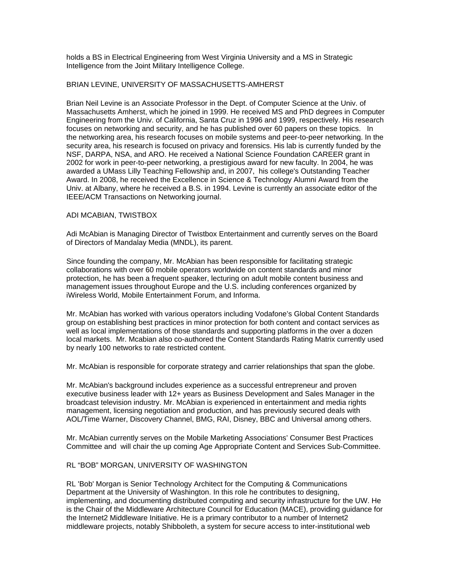holds a BS in Electrical Engineering from West Virginia University and a MS in Strategic Intelligence from the Joint Military Intelligence College.

#### BRIAN LEVINE, UNIVERSITY OF MASSACHUSETTS-AMHERST

Brian Neil Levine is an Associate Professor in the Dept. of Computer Science at the Univ. of Massachusetts Amherst, which he joined in 1999. He received MS and PhD degrees in Computer Engineering from the Univ. of California, Santa Cruz in 1996 and 1999, respectively. His research focuses on networking and security, and he has published over 60 papers on these topics. In the networking area, his research focuses on mobile systems and peer-to-peer networking. In the security area, his research is focused on privacy and forensics. His lab is currently funded by the NSF, DARPA, NSA, and ARO. He received a National Science Foundation CAREER grant in 2002 for work in peer-to-peer networking, a prestigious award for new faculty. In 2004, he was awarded a UMass Lilly Teaching Fellowship and, in 2007, his college's Outstanding Teacher Award. In 2008, he received the Excellence in Science & Technology Alumni Award from the Univ. at Albany, where he received a B.S. in 1994. Levine is currently an associate editor of the IEEE/ACM Transactions on Networking journal.

#### ADI MCABIAN, TWISTBOX

Adi McAbian is Managing Director of Twistbox Entertainment and currently serves on the Board of Directors of Mandalay Media (MNDL), its parent.

Since founding the company, Mr. McAbian has been responsible for facilitating strategic collaborations with over 60 mobile operators worldwide on content standards and minor protection, he has been a frequent speaker, lecturing on adult mobile content business and management issues throughout Europe and the U.S. including conferences organized by iWireless World, Mobile Entertainment Forum, and Informa.

Mr. McAbian has worked with various operators including Vodafone's Global Content Standards group on establishing best practices in minor protection for both content and contact services as well as local implementations of those standards and supporting platforms in the over a dozen local markets. Mr. Mcabian also co-authored the Content Standards Rating Matrix currently used by nearly 100 networks to rate restricted content.

Mr. McAbian is responsible for corporate strategy and carrier relationships that span the globe.

Mr. McAbian's background includes experience as a successful entrepreneur and proven executive business leader with 12+ years as Business Development and Sales Manager in the broadcast television industry. Mr. McAbian is experienced in entertainment and media rights management, licensing negotiation and production, and has previously secured deals with AOL/Time Warner, Discovery Channel, BMG, RAI, Disney, BBC and Universal among others.

Mr. McAbian currently serves on the Mobile Marketing Associations' Consumer Best Practices Committee and will chair the up coming Age Appropriate Content and Services Sub-Committee.

#### RL "BOB" MORGAN, UNIVERSITY OF WASHINGTON

RL 'Bob' Morgan is Senior Technology Architect for the Computing & Communications Department at the University of Washington. In this role he contributes to designing, implementing, and documenting distributed computing and security infrastructure for the UW. He is the Chair of the Middleware Architecture Council for Education (MACE), providing guidance for the Internet2 Middleware Initiative. He is a primary contributor to a number of Internet2 middleware projects, notably Shibboleth, a system for secure access to inter-institutional web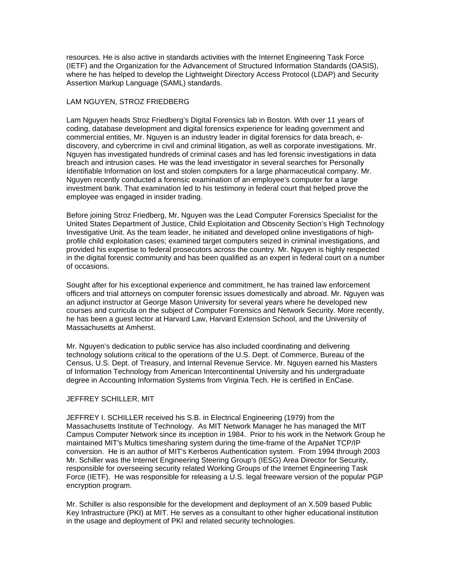resources. He is also active in standards activities with the Internet Engineering Task Force (IETF) and the Organization for the Advancement of Structured Information Standards (OASIS), where he has helped to develop the Lightweight Directory Access Protocol (LDAP) and Security Assertion Markup Language (SAML) standards.

#### LAM NGUYEN, STROZ FRIEDBERG

Lam Nguyen heads Stroz Friedberg's Digital Forensics lab in Boston. With over 11 years of coding, database development and digital forensics experience for leading government and commercial entities, Mr. Nguyen is an industry leader in digital forensics for data breach, e- discovery, and cybercrime in civil and criminal litigation, as well as corporate investigations. Mr. Nguyen has investigated hundreds of criminal cases and has led forensic investigations in data breach and intrusion cases. He was the lead investigator in several searches for Personally Identifiable Information on lost and stolen computers for a large pharmaceutical company. Mr. Nguyen recently conducted a forensic examination of an employee's computer for a large investment bank. That examination led to his testimony in federal court that helped prove the employee was engaged in insider trading.

Before joining Stroz Friedberg, Mr. Nguyen was the Lead Computer Forensics Specialist for the United States Department of Justice, Child Exploitation and Obscenity Section's High Technology Investigative Unit. As the team leader, he initiated and developed online investigations of high- profile child exploitation cases; examined target computers seized in criminal investigations, and provided his expertise to federal prosecutors across the country. Mr. Nguyen is highly respected in the digital forensic community and has been qualified as an expert in federal court on a number of occasions.

Sought after for his exceptional experience and commitment, he has trained law enforcement officers and trial attorneys on computer forensic issues domestically and abroad. Mr. Nguyen was an adjunct instructor at George Mason University for several years where he developed new courses and curricula on the subject of Computer Forensics and Network Security. More recently, he has been a guest lector at Harvard Law, Harvard Extension School, and the University of Massachusetts at Amherst.

Mr. Nguyen's dedication to public service has also included coordinating and delivering technology solutions critical to the operations of the U.S. Dept. of Commerce, Bureau of the Census, U.S. Dept. of Treasury, and Internal Revenue Service. Mr. Nguyen earned his Masters of Information Technology from American Intercontinental University and his undergraduate degree in Accounting Information Systems from Virginia Tech. He is certified in EnCase.

#### JEFFREY SCHILLER, MIT

JEFFREY I. SCHILLER received his S.B. in Electrical Engineering (1979) from the Massachusetts Institute of Technology. As MIT Network Manager he has managed the MIT Campus Computer Network since its inception in 1984. Prior to his work in the Network Group he maintained MIT's Multics timesharing system during the time-frame of the ArpaNet TCP/IP conversion. He is an author of MIT's Kerberos Authentication system. From 1994 through 2003 Mr. Schiller was the Internet Engineering Steering Group's (IESG) Area Director for Security, responsible for overseeing security related Working Groups of the Internet Engineering Task Force (IETF). He was responsible for releasing a U.S. legal freeware version of the popular PGP encryption program.

Mr. Schiller is also responsible for the development and deployment of an X.509 based Public Key Infrastructure (PKI) at MIT. He serves as a consultant to other higher educational institution in the usage and deployment of PKI and related security technologies.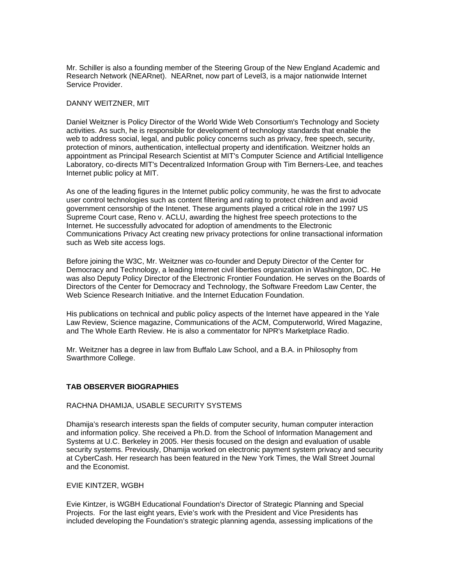Mr. Schiller is also a founding member of the Steering Group of the New England Academic and Research Network (NEARnet). NEARnet, now part of Level3, is a major nationwide Internet Service Provider.

#### DANNY WEITZNER, MIT

Daniel Weitzner is Policy Director of the World Wide Web Consortium's Technology and Society activities. As such, he is responsible for development of technology standards that enable the web to address social, legal, and public policy concerns such as privacy, free speech, security, protection of minors, authentication, intellectual property and identification. Weitzner holds an appointment as Principal Research Scientist at MIT's Computer Science and Artificial Intelligence Laboratory, co-directs MIT's Decentralized Information Group with Tim Berners-Lee, and teaches Internet public policy at MIT.

As one of the leading figures in the Internet public policy community, he was the first to advocate user control technologies such as content filtering and rating to protect children and avoid government censorship of the Intenet. These arguments played a critical role in the 1997 US Supreme Court case, Reno v. ACLU, awarding the highest free speech protections to the Internet. He successfully advocated for adoption of amendments to the Electronic Communications Privacy Act creating new privacy protections for online transactional information such as Web site access logs.

Before joining the W3C, Mr. Weitzner was co-founder and Deputy Director of the Center for Democracy and Technology, a leading Internet civil liberties organization in Washington, DC. He was also Deputy Policy Director of the Electronic Frontier Foundation. He serves on the Boards of Directors of the Center for Democracy and Technology, the Software Freedom Law Center, the Web Science Research Initiative. and the Internet Education Foundation.

His publications on technical and public policy aspects of the Internet have appeared in the Yale Law Review, Science magazine, Communications of the ACM, Computerworld, Wired Magazine, and The Whole Earth Review. He is also a commentator for NPR's Marketplace Radio.

Mr. Weitzner has a degree in law from Buffalo Law School, and a B.A. in Philosophy from Swarthmore College.

#### **TAB OBSERVER BIOGRAPHIES**

#### RACHNA DHAMIJA, USABLE SECURITY SYSTEMS

Dhamija's research interests span the fields of computer security, human computer interaction and information policy. She received a Ph.D. from the School of Information Management and Systems at U.C. Berkeley in 2005. Her thesis focused on the design and evaluation of usable security systems. Previously, Dhamija worked on electronic payment system privacy and security at CyberCash. Her research has been featured in the New York Times, the Wall Street Journal and the Economist.

#### EVIE KINTZER, WGBH

Evie Kintzer, is WGBH Educational Foundation's Director of Strategic Planning and Special Projects. For the last eight years, Evie's work with the President and Vice Presidents has included developing the Foundation's strategic planning agenda, assessing implications of the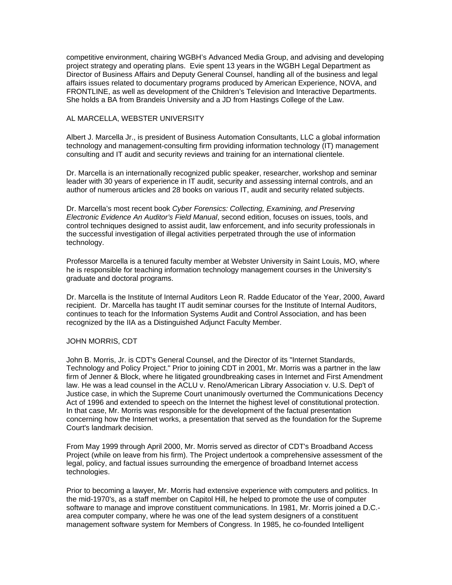competitive environment, chairing WGBH's Advanced Media Group, and advising and developing project strategy and operating plans. Evie spent 13 years in the WGBH Legal Department as Director of Business Affairs and Deputy General Counsel, handling all of the business and legal affairs issues related to documentary programs produced by American Experience, NOVA, and FRONTLINE, as well as development of the Children's Television and Interactive Departments. She holds a BA from Brandeis University and a JD from Hastings College of the Law.

#### AL MARCELLA, WEBSTER UNIVERSITY

Albert J. Marcella Jr., is president of Business Automation Consultants, LLC a global information technology and management-consulting firm providing information technology (IT) management consulting and IT audit and security reviews and training for an international clientele.

Dr. Marcella is an internationally recognized public speaker, researcher, workshop and seminar leader with 30 years of experience in IT audit, security and assessing internal controls, and an author of numerous articles and 28 books on various IT, audit and security related subjects.

Dr. Marcella's most recent book *Cyber Forensics: Collecting, Examining, and Preserving Electronic Evidence An Auditor's Field Manual*, second edition, focuses on issues, tools, and control techniques designed to assist audit, law enforcement, and info security professionals in the successful investigation of illegal activities perpetrated through the use of information technology.

Professor Marcella is a tenured faculty member at Webster University in Saint Louis, MO, where he is responsible for teaching information technology management courses in the University's graduate and doctoral programs.

Dr. Marcella is the Institute of Internal Auditors Leon R. Radde Educator of the Year, 2000, Award recipient. Dr. Marcella has taught IT audit seminar courses for the Institute of Internal Auditors, continues to teach for the Information Systems Audit and Control Association, and has been recognized by the IIA as a Distinguished Adjunct Faculty Member.

#### JOHN MORRIS, CDT

John B. Morris, Jr. is CDT's General Counsel, and the Director of its "Internet Standards, Technology and Policy Project." Prior to joining CDT in 2001, Mr. Morris was a partner in the law firm of Jenner & Block, where he litigated groundbreaking cases in Internet and First Amendment law. He was a lead counsel in the ACLU v. Reno/American Library Association v. U.S. Dep't of Justice case, in which the Supreme Court unanimously overturned the Communications Decency Act of 1996 and extended to speech on the Internet the highest level of constitutional protection. In that case, Mr. Morris was responsible for the development of the factual presentation concerning how the Internet works, a presentation that served as the foundation for the Supreme Court's landmark decision.

From May 1999 through April 2000, Mr. Morris served as director of CDT's Broadband Access Project (while on leave from his firm). The Project undertook a comprehensive assessment of the legal, policy, and factual issues surrounding the emergence of broadband Internet access technologies.

Prior to becoming a lawyer, Mr. Morris had extensive experience with computers and politics. In the mid-1970's, as a staff member on Capitol Hill, he helped to promote the use of computer software to manage and improve constituent communications. In 1981, Mr. Morris joined a D.C.- area computer company, where he was one of the lead system designers of a constituent management software system for Members of Congress. In 1985, he co-founded Intelligent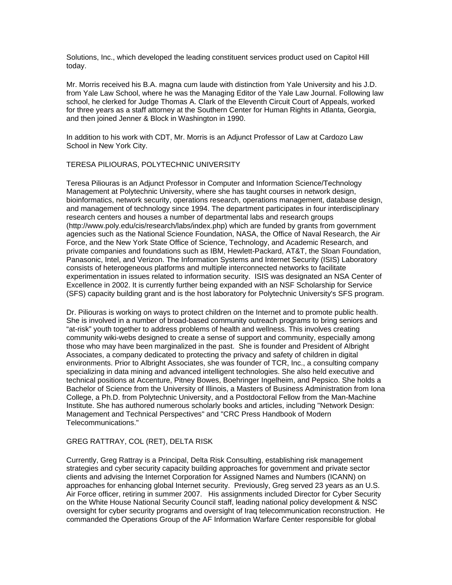Solutions, Inc., which developed the leading constituent services product used on Capitol Hill today.

Mr. Morris received his B.A. magna cum laude with distinction from Yale University and his J.D. from Yale Law School, where he was the Managing Editor of the Yale Law Journal. Following law school, he clerked for Judge Thomas A. Clark of the Eleventh Circuit Court of Appeals, worked for three years as a staff attorney at the Southern Center for Human Rights in Atlanta, Georgia, and then joined Jenner & Block in Washington in 1990.

In addition to his work with CDT, Mr. Morris is an Adjunct Professor of Law at Cardozo Law School in New York City.

#### TERESA PILIOURAS, POLYTECHNIC UNIVERSITY

Teresa Piliouras is an Adjunct Professor in Computer and Information Science/Technology Management at Polytechnic University, where she has taught courses in network design, bioinformatics, network security, operations research, operations management, database design, and management of technology since 1994. The department participates in four interdisciplinary research centers and houses a number of departmental labs and research groups (http://www.poly.edu/cis/research/labs/index.php) which are funded by grants from government agencies such as the National Science Foundation, NASA, the Office of Naval Research, the Air Force, and the New York State Office of Science, Technology, and Academic Research, and private companies and foundations such as IBM, Hewlett-Packard, AT&T, the Sloan Foundation, Panasonic, Intel, and Verizon. The Information Systems and Internet Security (ISIS) Laboratory consists of heterogeneous platforms and multiple interconnected networks to facilitate experimentation in issues related to information security. ISIS was designated an NSA Center of Excellence in 2002. It is currently further being expanded with an NSF Scholarship for Service (SFS) capacity building grant and is the host laboratory for Polytechnic University's SFS program.

Dr. Piliouras is working on ways to protect children on the Internet and to promote public health. She is involved in a number of broad-based community outreach programs to bring seniors and "at-risk" youth together to address problems of health and wellness. This involves creating community wiki-webs designed to create a sense of support and community, especially among those who may have been marginalized in the past. She is founder and President of Albright Associates, a company dedicated to protecting the privacy and safety of children in digital environments. Prior to Albright Associates, she was founder of TCR, Inc., a consulting company specializing in data mining and advanced intelligent technologies. She also held executive and technical positions at Accenture, Pitney Bowes, Boehringer Ingelheim, and Pepsico. She holds a Bachelor of Science from the University of Illinois, a Masters of Business Administration from Iona College, a Ph.D. from Polytechnic University, and a Postdoctoral Fellow from the Man-Machine Institute. She has authored numerous scholarly books and articles, including "Network Design: Management and Technical Perspectives" and "CRC Press Handbook of Modern Telecommunications."

#### GREG RATTRAY, COL (RET), DELTA RISK

Currently, Greg Rattray is a Principal, Delta Risk Consulting, establishing risk management strategies and cyber security capacity building approaches for government and private sector clients and advising the Internet Corporation for Assigned Names and Numbers (ICANN) on approaches for enhancing global Internet security. Previously, Greg served 23 years as an U.S. Air Force officer, retiring in summer 2007. His assignments included Director for Cyber Security on the White House National Security Council staff, leading national policy development & NSC oversight for cyber security programs and oversight of Iraq telecommunication reconstruction. He commanded the Operations Group of the AF Information Warfare Center responsible for global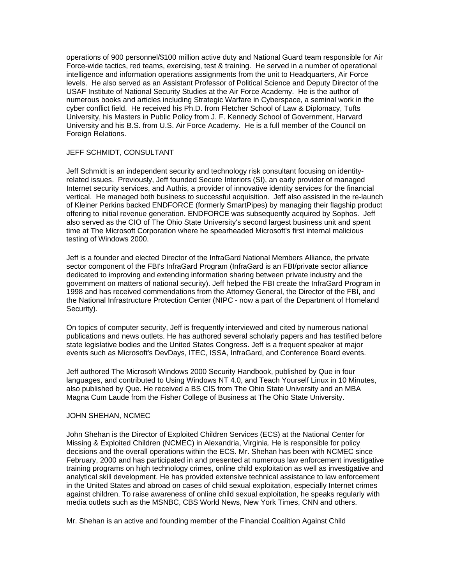operations of 900 personnel/\$100 million active duty and National Guard team responsible for Air Force-wide tactics, red teams, exercising, test & training. He served in a number of operational intelligence and information operations assignments from the unit to Headquarters, Air Force levels. He also served as an Assistant Professor of Political Science and Deputy Director of the USAF Institute of National Security Studies at the Air Force Academy. He is the author of numerous books and articles including Strategic Warfare in Cyberspace, a seminal work in the cyber conflict field. He received his Ph.D. from Fletcher School of Law & Diplomacy, Tufts University, his Masters in Public Policy from J. F. Kennedy School of Government, Harvard University and his B.S. from U.S. Air Force Academy. He is a full member of the Council on Foreign Relations.

#### JEFF SCHMIDT, CONSULTANT

Jeff Schmidt is an independent security and technology risk consultant focusing on identity- related issues. Previously, Jeff founded Secure Interiors (SI), an early provider of managed Internet security services, and Authis, a provider of innovative identity services for the financial vertical. He managed both business to successful acquisition. Jeff also assisted in the re-launch of Kleiner Perkins backed ENDFORCE (formerly SmartPipes) by managing their flagship product offering to initial revenue generation. ENDFORCE was subsequently acquired by Sophos. Jeff also served as the CIO of The Ohio State University's second largest business unit and spent time at The Microsoft Corporation where he spearheaded Microsoft's first internal malicious testing of Windows 2000.

Jeff is a founder and elected Director of the InfraGard National Members Alliance, the private sector component of the FBI's InfraGard Program (InfraGard is an FBI/private sector alliance dedicated to improving and extending information sharing between private industry and the government on matters of national security). Jeff helped the FBI create the InfraGard Program in 1998 and has received commendations from the Attorney General, the Director of the FBI, and the National Infrastructure Protection Center (NIPC - now a part of the Department of Homeland Security).

On topics of computer security, Jeff is frequently interviewed and cited by numerous national publications and news outlets. He has authored several scholarly papers and has testified before state legislative bodies and the United States Congress. Jeff is a frequent speaker at major events such as Microsoft's DevDays, ITEC, ISSA, InfraGard, and Conference Board events.

Jeff authored The Microsoft Windows 2000 Security Handbook, published by Que in four languages, and contributed to Using Windows NT 4.0, and Teach Yourself Linux in 10 Minutes, also published by Que. He received a BS CIS from The Ohio State University and an MBA Magna Cum Laude from the Fisher College of Business at The Ohio State University.

#### JOHN SHEHAN, NCMEC

John Shehan is the Director of Exploited Children Services (ECS) at the National Center for Missing & Exploited Children (NCMEC) in Alexandria, Virginia. He is responsible for policy decisions and the overall operations within the ECS. Mr. Shehan has been with NCMEC since February, 2000 and has participated in and presented at numerous law enforcement investigative training programs on high technology crimes, online child exploitation as well as investigative and analytical skill development. He has provided extensive technical assistance to law enforcement in the United States and abroad on cases of child sexual exploitation, especially Internet crimes against children. To raise awareness of online child sexual exploitation, he speaks regularly with media outlets such as the MSNBC, CBS World News, New York Times, CNN and others.

Mr. Shehan is an active and founding member of the Financial Coalition Against Child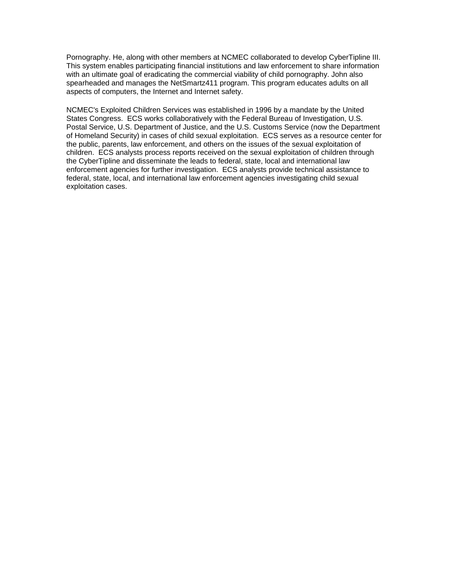Pornography. He, along with other members at NCMEC collaborated to develop CyberTipline III. This system enables participating financial institutions and law enforcement to share information with an ultimate goal of eradicating the commercial viability of child pornography. John also spearheaded and manages the NetSmartz411 program. This program educates adults on all aspects of computers, the Internet and Internet safety.

NCMEC's Exploited Children Services was established in 1996 by a mandate by the United States Congress. ECS works collaboratively with the Federal Bureau of Investigation, U.S. Postal Service, U.S. Department of Justice, and the U.S. Customs Service (now the Department of Homeland Security) in cases of child sexual exploitation. ECS serves as a resource center for the public, parents, law enforcement, and others on the issues of the sexual exploitation of children. ECS analysts process reports received on the sexual exploitation of children through the CyberTipline and disseminate the leads to federal, state, local and international law enforcement agencies for further investigation. ECS analysts provide technical assistance to federal, state, local, and international law enforcement agencies investigating child sexual exploitation cases.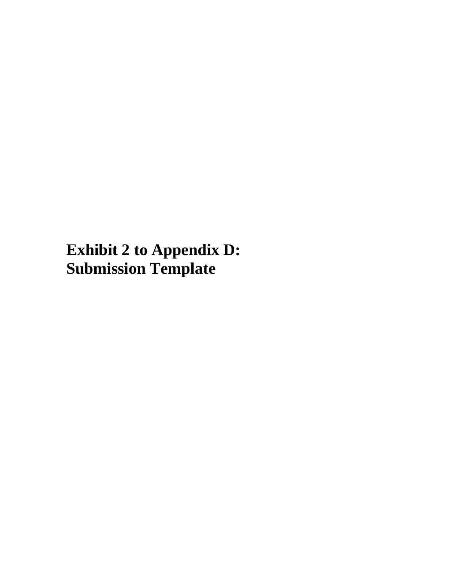**Exhibit 2 to Appendix D: Submission Template**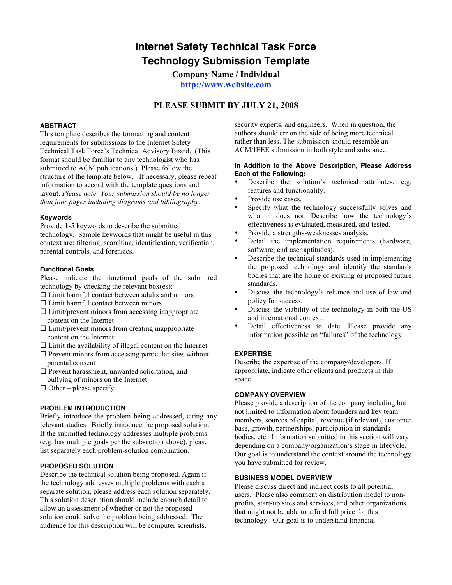# **Internet Safety Technical Task Force Technology Submission Template**

**Company Name / Individual**

**http://www.website.com**

#### **PLEASE SUBMIT BY JULY 21, 2008**

#### **ABSTRACT**

This template describes the formatting and content requirements for submissions to the Internet Safety Technical Task Force's Technical Advisory Board. (This format should be familiar to any technologist who has submitted to ACM publications.) Please follow the structure of the template below. If necessary, please repeat information to accord with the template questions and layout. *Please note: Your submission should be no longer than four pages including diagrams and bibliography.*

#### **Keywords**

Provide 1-5 keywords to describe the submitted technology. Sample keywords that might be useful in this context are: filtering, searching, identification, verification, parental controls, and forensics.

#### **Functional Goals**

Please indicate the functional goals of the submitted technology by checking the relevant box(es):

- $\Box$  Limit harmful contact between adults and minors
- $\square$  Limit harmful contact between minors
- $\Box$  Limit/prevent minors from accessing inappropriate content on the Internet
- $\square$  Limit/prevent minors from creating inappropriate content on the Internet
- $\Box$  Limit the availability of illegal content on the Internet
- $\square$  Prevent minors from accessing particular sites without parental consent
- $\square$  Prevent harassment, unwanted solicitation, and bullying of minors on the Internet
- $\Box$  Other please specify

#### **PROBLEM INTRODUCTION**

Briefly introduce the problem being addressed, citing any relevant studies. Briefly introduce the proposed solution. If the submitted technology addresses multiple problems (e.g. has multiple goals per the subsection above), please list separately each problem-solution combination.

#### **PROPOSED SOLUTION**

Describe the technical solution being proposed. Again if the technology addresses multiple problems with each a separate solution, please address each solution separately. This solution description should include enough detail to allow an assessment of whether or not the proposed solution could solve the problem being addressed. The audience for this description will be computer scientists,

security experts, and engineers. When in question, the authors should err on the side of being more technical rather than less. The submission should resemble an ACM/IEEE submission in both style and substance.

#### **In Addition to the Above Description, Please Address Each of the Following:**

- Describe the solution's technical attributes, e.g. features and functionality.
- Provide use cases.<br>• Specify what the
- Specify what the technology successfully solves and what it does not. Describe how the technology's effectiveness is evaluated, measured, and tested.
- Provide a strengths-weaknesses analysis.
- Detail the implementation requirements (hardware, software, end user aptitudes).
- Describe the technical standards used in implementing the proposed technology and identify the standards bodies that are the home of existing or proposed future standards.
- Discuss the technology's reliance and use of law and policy for success.
- Discuss the viability of the technology in both the US and international context.
- Detail effectiveness to date. Please provide any information possible on "failures" of the technology.

#### **EXPERTISE**

Describe the expertise of the company/developers. If appropriate, indicate other clients and products in this space.

#### **COMPANY OVERVIEW**

Please provide a description of the company including but not limited to information about founders and key team members, sources of capital, revenue (if relevant), customer base, growth, partnerships, participation in standards bodies, etc. Information submitted in this section will vary depending on a company/organization's stage in lifecycle. Our goal is to understand the context around the technology you have submitted for review.

#### **BUSINESS MODEL OVERVIEW**

Please discuss direct and indirect costs to all potential users. Please also comment on distribution model to nonprofits, start-up sites and services, and other organizations that might not be able to afford full price for this technology. Our goal is to understand financial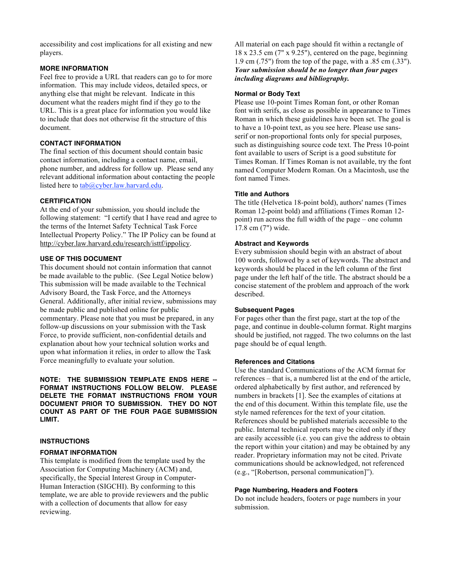accessibility and cost implications for all existing and new players.

#### **MORE INFORMATION**

Feel free to provide a URL that readers can go to for more information. This may include videos, detailed specs, or anything else that might be relevant. Indicate in this document what the readers might find if they go to the URL. This is a great place for information you would like to include that does not otherwise fit the structure of this document.

#### **CONTACT INFORMATION**

The final section of this document should contain basic contact information, including a contact name, email, phone number, and address for follow up. Please send any relevant additional information about contacting the people listed here to tab@cyber.law.harvard.edu.

#### **CERTIFICATION**

At the end of your submission, you should include the following statement: "I certify that I have read and agree to the terms of the Internet Safety Technical Task Force Intellectual Property Policy." The IP Policy can be found at http://cyber.law.harvard.edu/research/isttf/ippolicy.

#### **USE OF THIS DOCUMENT**

This document should not contain information that cannot be made available to the public. (See Legal Notice below) This submission will be made available to the Technical Advisory Board, the Task Force, and the Attorneys General. Additionally, after initial review, submissions may be made public and published online for public commentary. Please note that you must be prepared, in any follow-up discussions on your submission with the Task Force, to provide sufficient, non-confidential details and explanation about how your technical solution works and upon what information it relies, in order to allow the Task Force meaningfully to evaluate your solution.

**NOTE: THE SUBMISSION TEMPLATE ENDS HERE -- FORMAT INSTRUCTIONS FOLLOW BELOW. PLEASE DELETE THE FORMAT INSTRUCTIONS FROM YOUR DOCUMENT PRIOR TO SUBMISSION. THEY DO NOT COUNT AS PART OF THE FOUR PAGE SUBMISSION LIMIT.**

#### **INSTRUCTIONS**

#### **FORMAT INFORMATION**

This template is modified from the template used by the Association for Computing Machinery (ACM) and, specifically, the Special Interest Group in Computer-Human Interaction (SIGCHI). By conforming to this template, we are able to provide reviewers and the public with a collection of documents that allow for easy reviewing.

All material on each page should fit within a rectangle of 18 x 23.5 cm (7" x 9.25"), centered on the page, beginning 1.9 cm (.75") from the top of the page, with a .85 cm (.33"). *Your submission should be no longer than four pages including diagrams and bibliography.*

#### **Normal or Body Text**

Please use 10-point Times Roman font, or other Roman font with serifs, as close as possible in appearance to Times Roman in which these guidelines have been set. The goal is to have a 10-point text, as you see here. Please use sansserif or non-proportional fonts only for special purposes, such as distinguishing source code text. The Press 10-point font available to users of Script is a good substitute for Times Roman. If Times Roman is not available, try the font named Computer Modern Roman. On a Macintosh, use the font named Times.

#### **Title and Authors**

The title (Helvetica 18-point bold), authors' names (Times Roman 12-point bold) and affiliations (Times Roman 12 point) run across the full width of the page – one column 17.8 cm (7") wide.

#### **Abstract and Keywords**

Every submission should begin with an abstract of about 100 words, followed by a set of keywords. The abstract and keywords should be placed in the left column of the first page under the left half of the title. The abstract should be a concise statement of the problem and approach of the work described.

#### **Subsequent Pages**

For pages other than the first page, start at the top of the page, and continue in double-column format. Right margins should be justified, not ragged. The two columns on the last page should be of equal length.

#### **References and Citations**

Use the standard Communications of the ACM format for references – that is, a numbered list at the end of the article, ordered alphabetically by first author, and referenced by numbers in brackets [1]. See the examples of citations at the end of this document. Within this template file, use the style named references for the text of your citation. References should be published materials accessible to the public. Internal technical reports may be cited only if they are easily accessible (i.e. you can give the address to obtain the report within your citation) and may be obtained by any reader. Proprietary information may not be cited. Private communications should be acknowledged, not referenced (e.g., "[Robertson, personal communication]").

#### **Page Numbering, Headers and Footers**

Do not include headers, footers or page numbers in your submission.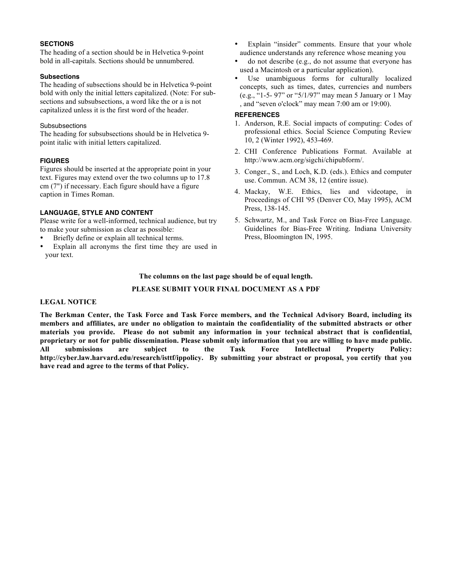#### **SECTIONS**

The heading of a section should be in Helvetica 9-point bold in all-capitals. Sections should be unnumbered.

#### **Subsections**

The heading of subsections should be in Helvetica 9-point bold with only the initial letters capitalized. (Note: For subsections and subsubsections, a word like the or a is not capitalized unless it is the first word of the header.

#### Subsubsections

The heading for subsubsections should be in Helvetica 9 point italic with initial letters capitalized.

#### **FIGURES**

Figures should be inserted at the appropriate point in your text. Figures may extend over the two columns up to 17.8 cm (7") if necessary. Each figure should have a figure caption in Times Roman.

#### **LANGUAGE, STYLE AND CONTENT**

Please write for a well-informed, technical audience, but try to make your submission as clear as possible:

- Briefly define or explain all technical terms.
- Explain all acronyms the first time they are used in your text.
- Explain "insider" comments. Ensure that your whole audience understands any reference whose meaning you
- do not describe (e.g., do not assume that everyone has used a Macintosh or a particular application).
- Use unambiguous forms for culturally localized concepts, such as times, dates, currencies and numbers (e.g., "1-5- 97" or "5/1/97" may mean 5 January or 1 May , and "seven o'clock" may mean 7:00 am or 19:00).

#### **REFERENCES**

- 1. Anderson, R.E. Social impacts of computing: Codes of professional ethics. Social Science Computing Review 10, 2 (Winter 1992), 453-469.
- 2. CHI Conference Publications Format. Available at http://www.acm.org/sigchi/chipubform/.
- 3. Conger., S., and Loch, K.D. (eds.). Ethics and computer use. Commun. ACM 38, 12 (entire issue).
- 4. Mackay, W.E. Ethics, lies and videotape, in Proceedings of CHI '95 (Denver CO, May 1995), ACM Press, 138-145.
- 5. Schwartz, M., and Task Force on Bias-Free Language. Guidelines for Bias-Free Writing. Indiana University Press, Bloomington IN, 1995.

#### **The columns on the last page should be of equal length.**

#### **PLEASE SUBMIT YOUR FINAL DOCUMENT AS A PDF**

#### **LEGAL NOTICE**

**The Berkman Center, the Task Force and Task Force members, and the Technical Advisory Board, including its members and affiliates, are under no obligation to maintain the confidentiality of the submitted abstracts or other materials you provide. Please do not submit any information in your technical abstract that is confidential, proprietary or not for public dissemination. Please submit only information that you are willing to have made public. All submissions are subject to the Task Force Intellectual Property Policy: http://cyber.law.harvard.edu/research/isttf/ippolicy. By submitting your abstract or proposal, you certify that you have read and agree to the terms of that Policy.**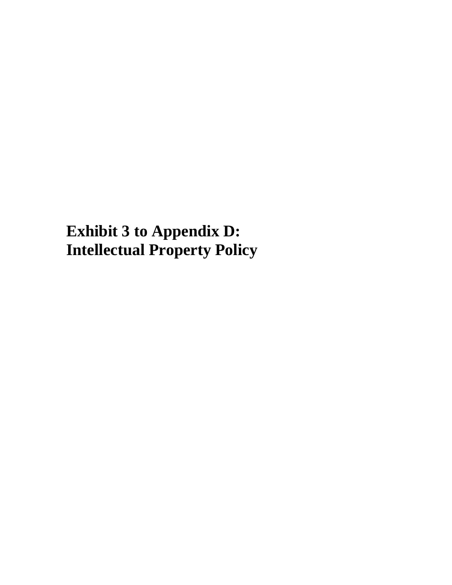**Exhibit 3 to Appendix D: Intellectual Property Policy**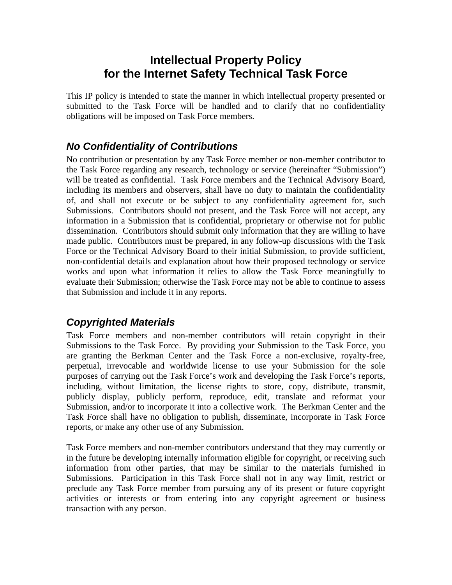# **Intellectual Property Policy for the Internet Safety Technical Task Force**

This IP policy is intended to state the manner in which intellectual property presented or submitted to the Task Force will be handled and to clarify that no confidentiality obligations will be imposed on Task Force members.

# *No Confidentiality of Contributions*

No contribution or presentation by any Task Force member or non-member contributor to the Task Force regarding any research, technology or service (hereinafter "Submission") will be treated as confidential. Task Force members and the Technical Advisory Board, including its members and observers, shall have no duty to maintain the confidentiality of, and shall not execute or be subject to any confidentiality agreement for, such Submissions. Contributors should not present, and the Task Force will not accept, any information in a Submission that is confidential, proprietary or otherwise not for public dissemination. Contributors should submit only information that they are willing to have made public. Contributors must be prepared, in any follow-up discussions with the Task Force or the Technical Advisory Board to their initial Submission, to provide sufficient, non-confidential details and explanation about how their proposed technology or service works and upon what information it relies to allow the Task Force meaningfully to evaluate their Submission; otherwise the Task Force may not be able to continue to assess that Submission and include it in any reports.

## *Copyrighted Materials*

Task Force members and non-member contributors will retain copyright in their Submissions to the Task Force. By providing your Submission to the Task Force, you are granting the Berkman Center and the Task Force a non-exclusive, royalty-free, perpetual, irrevocable and worldwide license to use your Submission for the sole purposes of carrying out the Task Force's work and developing the Task Force's reports, including, without limitation, the license rights to store, copy, distribute, transmit, publicly display, publicly perform, reproduce, edit, translate and reformat your Submission, and/or to incorporate it into a collective work. The Berkman Center and the Task Force shall have no obligation to publish, disseminate, incorporate in Task Force reports, or make any other use of any Submission.

Task Force members and non-member contributors understand that they may currently or in the future be developing internally information eligible for copyright, or receiving such information from other parties, that may be similar to the materials furnished in Submissions. Participation in this Task Force shall not in any way limit, restrict or preclude any Task Force member from pursuing any of its present or future copyright activities or interests or from entering into any copyright agreement or business transaction with any person.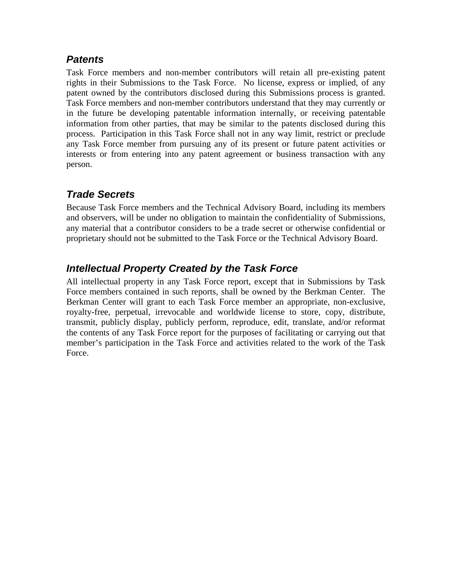## *Patents*

Task Force members and non-member contributors will retain all pre-existing patent rights in their Submissions to the Task Force. No license, express or implied, of any patent owned by the contributors disclosed during this Submissions process is granted. Task Force members and non-member contributors understand that they may currently or in the future be developing patentable information internally, or receiving patentable information from other parties, that may be similar to the patents disclosed during this process. Participation in this Task Force shall not in any way limit, restrict or preclude any Task Force member from pursuing any of its present or future patent activities or interests or from entering into any patent agreement or business transaction with any person.

# *Trade Secrets*

Because Task Force members and the Technical Advisory Board, including its members and observers, will be under no obligation to maintain the confidentiality of Submissions, any material that a contributor considers to be a trade secret or otherwise confidential or proprietary should not be submitted to the Task Force or the Technical Advisory Board.

## *Intellectual Property Created by the Task Force*

All intellectual property in any Task Force report, except that in Submissions by Task Force members contained in such reports, shall be owned by the Berkman Center. The Berkman Center will grant to each Task Force member an appropriate, non-exclusive, royalty-free, perpetual, irrevocable and worldwide license to store, copy, distribute, transmit, publicly display, publicly perform, reproduce, edit, translate, and/or reformat the contents of any Task Force report for the purposes of facilitating or carrying out that member's participation in the Task Force and activities related to the work of the Task Force.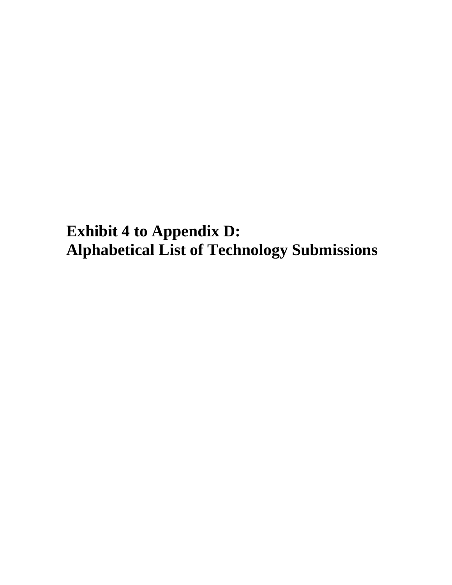**Exhibit 4 to Appendix D: Alphabetical List of Technology Submissions**